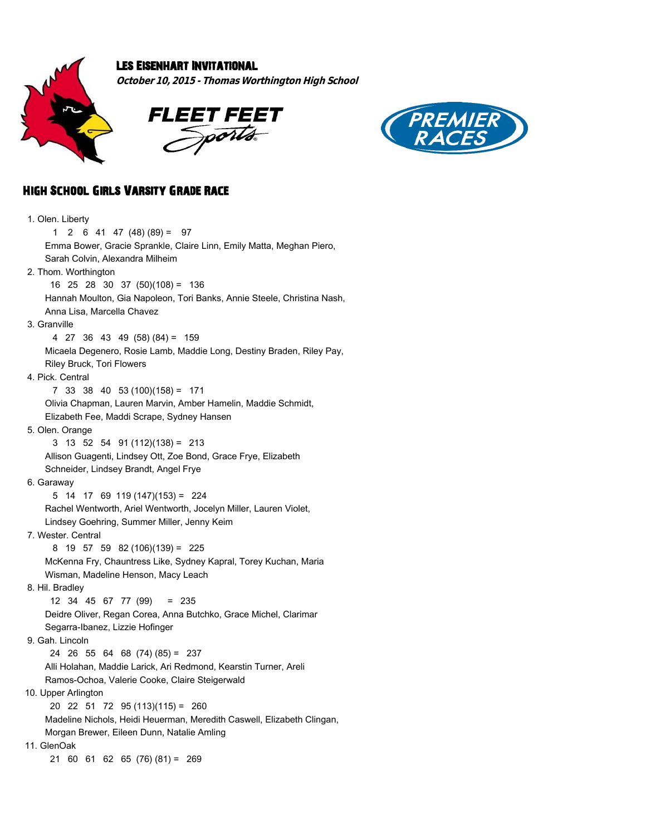

## Les Eisenhart Invitational

**October 10, 2015 - Thomas Worthington High School**





## High School Girls Varsity Grade Race

 1. Olen. Liberty 1 2 6 41 47 (48) (89) = 97 Emma Bower, Gracie Sprankle, Claire Linn, Emily Matta, Meghan Piero, Sarah Colvin, Alexandra Milheim 2. Thom. Worthington 16 25 28 30 37 (50)(108) = 136 Hannah Moulton, Gia Napoleon, Tori Banks, Annie Steele, Christina Nash, Anna Lisa, Marcella Chavez 3. Granville 4 27 36 43 49 (58) (84) = 159 Micaela Degenero, Rosie Lamb, Maddie Long, Destiny Braden, Riley Pay, Riley Bruck, Tori Flowers 4. Pick. Central 7 33 38 40 53 (100)(158) = 171 Olivia Chapman, Lauren Marvin, Amber Hamelin, Maddie Schmidt, Elizabeth Fee, Maddi Scrape, Sydney Hansen 5. Olen. Orange 3 13 52 54 91 (112)(138) = 213 Allison Guagenti, Lindsey Ott, Zoe Bond, Grace Frye, Elizabeth Schneider, Lindsey Brandt, Angel Frye 6. Garaway 5 14 17 69 119 (147)(153) = 224 Rachel Wentworth, Ariel Wentworth, Jocelyn Miller, Lauren Violet, Lindsey Goehring, Summer Miller, Jenny Keim 7. Wester. Central 8 19 57 59 82 (106)(139) = 225 McKenna Fry, Chauntress Like, Sydney Kapral, Torey Kuchan, Maria Wisman, Madeline Henson, Macy Leach 8. Hil. Bradley 12 34 45 67 77 (99) = 235 Deidre Oliver, Regan Corea, Anna Butchko, Grace Michel, Clarimar Segarra-Ibanez, Lizzie Hofinger 9. Gah. Lincoln 24 26 55 64 68 (74) (85) = 237 Alli Holahan, Maddie Larick, Ari Redmond, Kearstin Turner, Areli Ramos-Ochoa, Valerie Cooke, Claire Steigerwald 10. Upper Arlington 20 22 51 72 95 (113)(115) = 260 Madeline Nichols, Heidi Heuerman, Meredith Caswell, Elizabeth Clingan, Morgan Brewer, Eileen Dunn, Natalie Amling 11. GlenOak 21 60 61 62 65 (76) (81) = 269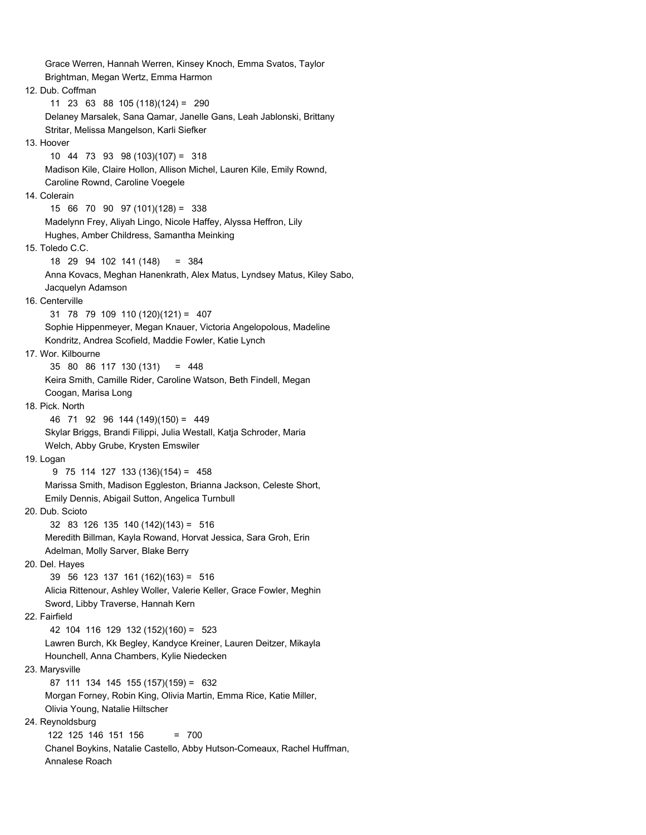Grace Werren, Hannah Werren, Kinsey Knoch, Emma Svatos, Taylor Brightman, Megan Wertz, Emma Harmon 12. Dub. Coffman 11 23 63 88 105 (118)(124) = 290 Delaney Marsalek, Sana Qamar, Janelle Gans, Leah Jablonski, Brittany Stritar, Melissa Mangelson, Karli Siefker 13. Hoover 10 44 73 93 98 (103)(107) = 318 Madison Kile, Claire Hollon, Allison Michel, Lauren Kile, Emily Rownd, Caroline Rownd, Caroline Voegele 14. Colerain 15 66 70 90 97 (101)(128) = 338 Madelynn Frey, Aliyah Lingo, Nicole Haffey, Alyssa Heffron, Lily Hughes, Amber Childress, Samantha Meinking 15. Toledo C.C. 18 29 94 102 141 (148) = 384 Anna Kovacs, Meghan Hanenkrath, Alex Matus, Lyndsey Matus, Kiley Sabo, Jacquelyn Adamson 16. Centerville 31 78 79 109 110 (120)(121) = 407 Sophie Hippenmeyer, Megan Knauer, Victoria Angelopolous, Madeline Kondritz, Andrea Scofield, Maddie Fowler, Katie Lynch 17. Wor. Kilbourne 35 80 86 117 130 (131) = 448 Keira Smith, Camille Rider, Caroline Watson, Beth Findell, Megan Coogan, Marisa Long 18. Pick. North 46 71 92 96 144 (149)(150) = 449 Skylar Briggs, Brandi Filippi, Julia Westall, Katja Schroder, Maria Welch, Abby Grube, Krysten Emswiler 19. Logan 9 75 114 127 133 (136)(154) = 458 Marissa Smith, Madison Eggleston, Brianna Jackson, Celeste Short, Emily Dennis, Abigail Sutton, Angelica Turnbull 20. Dub. Scioto 32 83 126 135 140 (142)(143) = 516 Meredith Billman, Kayla Rowand, Horvat Jessica, Sara Groh, Erin Adelman, Molly Sarver, Blake Berry 20. Del. Hayes 39 56 123 137 161 (162)(163) = 516 Alicia Rittenour, Ashley Woller, Valerie Keller, Grace Fowler, Meghin Sword, Libby Traverse, Hannah Kern 22. Fairfield 42 104 116 129 132 (152)(160) = 523 Lawren Burch, Kk Begley, Kandyce Kreiner, Lauren Deitzer, Mikayla Hounchell, Anna Chambers, Kylie Niedecken 23. Marysville 87 111 134 145 155 (157)(159) = 632 Morgan Forney, Robin King, Olivia Martin, Emma Rice, Katie Miller, Olivia Young, Natalie Hiltscher 24. Reynoldsburg 122 125 146 151 156 = 700 Chanel Boykins, Natalie Castello, Abby Hutson-Comeaux, Rachel Huffman, Annalese Roach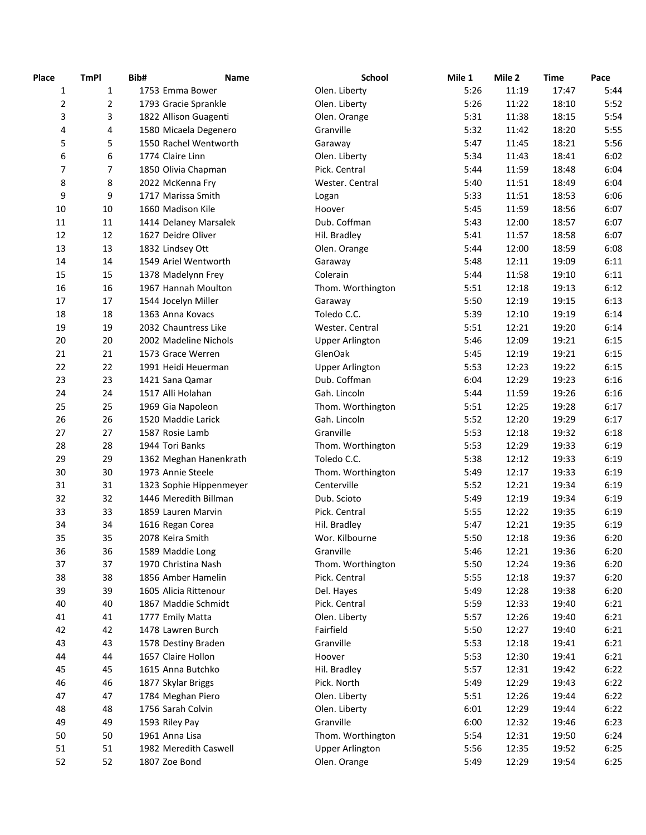| Place          | <b>TmPI</b>    | Bib# | <b>Name</b>             | School                                    | Mile 1 | Mile 2 | <b>Time</b> | Pace         |
|----------------|----------------|------|-------------------------|-------------------------------------------|--------|--------|-------------|--------------|
| $\mathbf{1}$   | $\mathbf{1}$   |      | 1753 Emma Bower         | Olen. Liberty                             | 5:26   | 11:19  | 17:47       | 5:44         |
| $\overline{2}$ | $\overline{2}$ |      | 1793 Gracie Sprankle    | Olen. Liberty                             | 5:26   | 11:22  | 18:10       | 5:52         |
| 3              | 3              |      | 1822 Allison Guagenti   | Olen. Orange                              | 5:31   | 11:38  | 18:15       | 5:54         |
| 4              | 4              |      | 1580 Micaela Degenero   | Granville                                 | 5:32   | 11:42  | 18:20       | 5:55         |
| 5              | 5              |      | 1550 Rachel Wentworth   | Garaway                                   | 5:47   | 11:45  | 18:21       | 5:56         |
| 6              | 6              |      | 1774 Claire Linn        | Olen. Liberty                             | 5:34   | 11:43  | 18:41       | 6:02         |
| 7              | $\overline{7}$ |      | 1850 Olivia Chapman     | Pick. Central                             | 5:44   | 11:59  | 18:48       | 6:04         |
| 8              | 8              |      | 2022 McKenna Fry        | Wester. Central                           | 5:40   | 11:51  | 18:49       | 6:04         |
| 9              | 9              |      | 1717 Marissa Smith      | Logan                                     | 5:33   | 11:51  | 18:53       | 6:06         |
| 10             | 10             |      | 1660 Madison Kile       | Hoover                                    | 5:45   | 11:59  | 18:56       | 6:07         |
| 11             | $11\,$         |      | 1414 Delaney Marsalek   | Dub. Coffman                              | 5:43   | 12:00  | 18:57       | 6:07         |
| 12             | 12             |      | 1627 Deidre Oliver      | Hil. Bradley                              | 5:41   | 11:57  | 18:58       | 6:07         |
| 13             | 13             |      | 1832 Lindsey Ott        | Olen. Orange                              | 5:44   | 12:00  | 18:59       | 6:08         |
| 14             | 14             |      | 1549 Ariel Wentworth    | Garaway                                   | 5:48   | 12:11  | 19:09       | 6:11         |
| 15             | 15             |      | 1378 Madelynn Frey      | Colerain                                  | 5:44   | 11:58  | 19:10       | 6:11         |
| 16             | 16             |      | 1967 Hannah Moulton     | Thom. Worthington                         | 5:51   | 12:18  | 19:13       | 6:12         |
| 17             | 17             |      | 1544 Jocelyn Miller     | Garaway                                   | 5:50   | 12:19  | 19:15       | 6:13         |
| 18             | 18             |      | 1363 Anna Kovacs        | Toledo C.C.                               | 5:39   | 12:10  | 19:19       | 6:14         |
| 19             | 19             |      | 2032 Chauntress Like    |                                           | 5:51   | 12:21  | 19:20       | 6:14         |
| 20             | 20             |      | 2002 Madeline Nichols   | Wester. Central<br><b>Upper Arlington</b> | 5:46   | 12:09  | 19:21       | 6:15         |
|                |                |      |                         |                                           |        |        |             |              |
| 21             | 21             |      | 1573 Grace Werren       | GlenOak                                   | 5:45   | 12:19  | 19:21       | 6:15<br>6:15 |
| 22             | 22             |      | 1991 Heidi Heuerman     | <b>Upper Arlington</b>                    | 5:53   | 12:23  | 19:22       |              |
| 23             | 23             |      | 1421 Sana Qamar         | Dub. Coffman                              | 6:04   | 12:29  | 19:23       | 6:16         |
| 24             | 24             |      | 1517 Alli Holahan       | Gah. Lincoln                              | 5:44   | 11:59  | 19:26       | 6:16         |
| 25             | 25             |      | 1969 Gia Napoleon       | Thom. Worthington                         | 5:51   | 12:25  | 19:28       | 6:17         |
| 26             | 26             |      | 1520 Maddie Larick      | Gah. Lincoln                              | 5:52   | 12:20  | 19:29       | 6:17         |
| 27             | 27             |      | 1587 Rosie Lamb         | Granville                                 | 5:53   | 12:18  | 19:32       | 6:18         |
| 28             | 28             |      | 1944 Tori Banks         | Thom. Worthington                         | 5:53   | 12:29  | 19:33       | 6:19         |
| 29             | 29             |      | 1362 Meghan Hanenkrath  | Toledo C.C.                               | 5:38   | 12:12  | 19:33       | 6:19         |
| 30             | 30             |      | 1973 Annie Steele       | Thom. Worthington                         | 5:49   | 12:17  | 19:33       | 6:19         |
| 31             | 31             |      | 1323 Sophie Hippenmeyer | Centerville                               | 5:52   | 12:21  | 19:34       | 6:19         |
| 32             | 32             |      | 1446 Meredith Billman   | Dub. Scioto                               | 5:49   | 12:19  | 19:34       | 6:19         |
| 33             | 33             |      | 1859 Lauren Marvin      | Pick. Central                             | 5:55   | 12:22  | 19:35       | 6:19         |
| 34             | 34             |      | 1616 Regan Corea        | Hil. Bradley                              | 5:47   | 12:21  | 19:35       | 6:19         |
| 35             | 35             |      | 2078 Keira Smith        | Wor. Kilbourne                            | 5:50   | 12:18  | 19:36       | 6:20         |
| 36             | 36             |      | 1589 Maddie Long        | Granville                                 | 5:46   | 12:21  | 19:36       | 6:20         |
| 37             | 37             |      | 1970 Christina Nash     | Thom. Worthington                         | 5:50   | 12:24  | 19:36       | 6:20         |
| 38             | 38             |      | 1856 Amber Hamelin      | Pick. Central                             | 5:55   | 12:18  | 19:37       | 6:20         |
| 39             | 39             |      | 1605 Alicia Rittenour   | Del. Hayes                                | 5:49   | 12:28  | 19:38       | 6:20         |
| 40             | 40             |      | 1867 Maddie Schmidt     | Pick. Central                             | 5:59   | 12:33  | 19:40       | 6:21         |
| 41             | 41             |      | 1777 Emily Matta        | Olen. Liberty                             | 5:57   | 12:26  | 19:40       | 6:21         |
| 42             | 42             |      | 1478 Lawren Burch       | Fairfield                                 | 5:50   | 12:27  | 19:40       | 6:21         |
| 43             | 43             |      | 1578 Destiny Braden     | Granville                                 | 5:53   | 12:18  | 19:41       | 6:21         |
| 44             | 44             |      | 1657 Claire Hollon      | Hoover                                    | 5:53   | 12:30  | 19:41       | 6:21         |
| 45             | 45             |      | 1615 Anna Butchko       | Hil. Bradley                              | 5:57   | 12:31  | 19:42       | 6:22         |
| 46             | 46             |      | 1877 Skylar Briggs      | Pick. North                               | 5:49   | 12:29  | 19:43       | 6:22         |
| 47             | 47             |      | 1784 Meghan Piero       | Olen. Liberty                             | 5:51   | 12:26  | 19:44       | 6:22         |
| 48             | 48             |      | 1756 Sarah Colvin       | Olen. Liberty                             | 6:01   | 12:29  | 19:44       | 6:22         |
| 49             | 49             |      | 1593 Riley Pay          | Granville                                 | 6:00   | 12:32  | 19:46       | 6:23         |
| 50             | 50             |      | 1961 Anna Lisa          | Thom. Worthington                         | 5:54   | 12:31  | 19:50       | 6:24         |
| 51             | 51             |      | 1982 Meredith Caswell   | <b>Upper Arlington</b>                    | 5:56   | 12:35  | 19:52       | 6:25         |
| 52             | 52             |      | 1807 Zoe Bond           | Olen. Orange                              | 5:49   | 12:29  | 19:54       | 6:25         |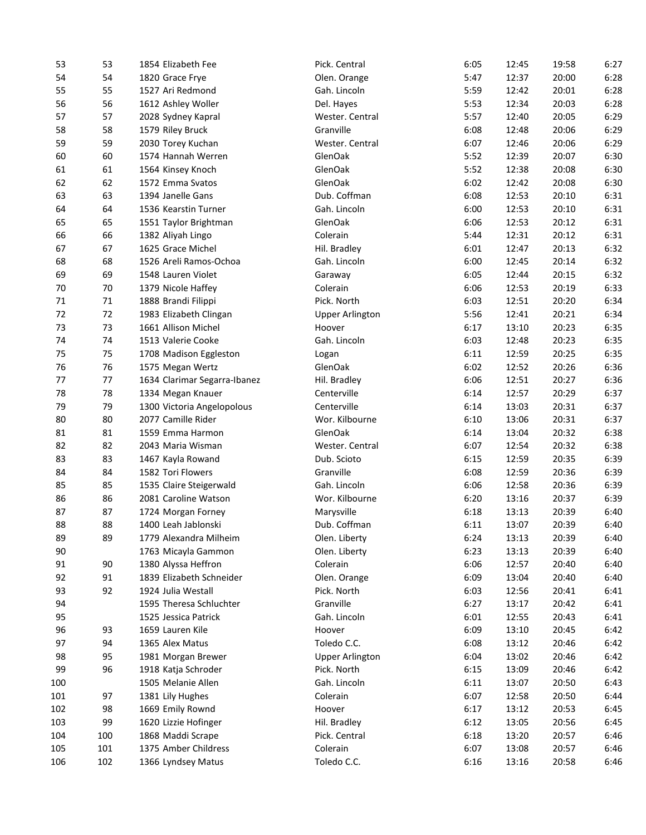| 53  | 53  | 1854 Elizabeth Fee           | Pick. Central          | 6:05 | 12:45 | 19:58 | 6:27 |
|-----|-----|------------------------------|------------------------|------|-------|-------|------|
| 54  | 54  | 1820 Grace Frye              | Olen. Orange           | 5:47 | 12:37 | 20:00 | 6:28 |
| 55  | 55  | 1527 Ari Redmond             | Gah. Lincoln           | 5:59 | 12:42 | 20:01 | 6:28 |
| 56  | 56  | 1612 Ashley Woller           | Del. Hayes             | 5:53 | 12:34 | 20:03 | 6:28 |
| 57  | 57  | 2028 Sydney Kapral           | Wester. Central        | 5:57 | 12:40 | 20:05 | 6:29 |
| 58  | 58  | 1579 Riley Bruck             | Granville              | 6:08 | 12:48 | 20:06 | 6:29 |
| 59  | 59  | 2030 Torey Kuchan            | Wester. Central        | 6:07 | 12:46 | 20:06 | 6:29 |
| 60  | 60  | 1574 Hannah Werren           | GlenOak                | 5:52 | 12:39 | 20:07 | 6:30 |
| 61  | 61  | 1564 Kinsey Knoch            | GlenOak                | 5:52 | 12:38 | 20:08 | 6:30 |
| 62  | 62  | 1572 Emma Svatos             | GlenOak                | 6:02 | 12:42 | 20:08 | 6:30 |
| 63  | 63  | 1394 Janelle Gans            | Dub. Coffman           | 6:08 | 12:53 | 20:10 | 6:31 |
| 64  | 64  | 1536 Kearstin Turner         | Gah. Lincoln           | 6:00 | 12:53 | 20:10 | 6:31 |
| 65  | 65  | 1551 Taylor Brightman        | GlenOak                | 6:06 | 12:53 | 20:12 | 6:31 |
| 66  | 66  | 1382 Aliyah Lingo            | Colerain               | 5:44 | 12:31 | 20:12 | 6:31 |
| 67  | 67  | 1625 Grace Michel            | Hil. Bradley           | 6:01 | 12:47 | 20:13 | 6:32 |
| 68  | 68  | 1526 Areli Ramos-Ochoa       | Gah. Lincoln           | 6:00 | 12:45 | 20:14 | 6:32 |
| 69  | 69  | 1548 Lauren Violet           | Garaway                | 6:05 | 12:44 | 20:15 | 6:32 |
| 70  | 70  | 1379 Nicole Haffey           | Colerain               | 6:06 | 12:53 | 20:19 | 6:33 |
| 71  | 71  | 1888 Brandi Filippi          | Pick. North            | 6:03 | 12:51 | 20:20 | 6:34 |
| 72  | 72  | 1983 Elizabeth Clingan       | <b>Upper Arlington</b> | 5:56 | 12:41 | 20:21 | 6:34 |
| 73  | 73  | 1661 Allison Michel          | Hoover                 | 6:17 | 13:10 | 20:23 | 6:35 |
| 74  | 74  | 1513 Valerie Cooke           | Gah. Lincoln           | 6:03 | 12:48 | 20:23 | 6:35 |
| 75  | 75  | 1708 Madison Eggleston       | Logan                  | 6:11 | 12:59 | 20:25 | 6:35 |
| 76  | 76  | 1575 Megan Wertz             | GlenOak                | 6:02 | 12:52 | 20:26 | 6:36 |
| 77  | 77  | 1634 Clarimar Segarra-Ibanez | Hil. Bradley           | 6:06 | 12:51 | 20:27 | 6:36 |
| 78  | 78  | 1334 Megan Knauer            | Centerville            | 6:14 | 12:57 | 20:29 | 6:37 |
| 79  | 79  | 1300 Victoria Angelopolous   | Centerville            | 6:14 | 13:03 | 20:31 | 6:37 |
| 80  | 80  | 2077 Camille Rider           | Wor. Kilbourne         | 6:10 | 13:06 | 20:31 | 6:37 |
| 81  | 81  | 1559 Emma Harmon             | GlenOak                | 6:14 | 13:04 | 20:32 | 6:38 |
| 82  | 82  | 2043 Maria Wisman            | Wester. Central        | 6:07 | 12:54 | 20:32 | 6:38 |
| 83  | 83  | 1467 Kayla Rowand            | Dub. Scioto            | 6:15 | 12:59 | 20:35 | 6:39 |
| 84  | 84  | 1582 Tori Flowers            | Granville              | 6:08 | 12:59 | 20:36 | 6:39 |
| 85  | 85  | 1535 Claire Steigerwald      | Gah. Lincoln           | 6:06 | 12:58 | 20:36 | 6:39 |
| 86  | 86  | 2081 Caroline Watson         | Wor. Kilbourne         | 6:20 | 13:16 | 20:37 | 6:39 |
| 87  | 87  |                              |                        |      |       |       | 6:40 |
|     |     | 1724 Morgan Forney           | Marysville             | 6:18 | 13:13 | 20:39 |      |
| 88  | 88  | 1400 Leah Jablonski          | Dub. Coffman           | 6:11 | 13:07 | 20:39 | 6:40 |
| 89  | 89  | 1779 Alexandra Milheim       | Olen. Liberty          | 6:24 | 13:13 | 20:39 | 6:40 |
| 90  |     | 1763 Micayla Gammon          | Olen. Liberty          | 6:23 | 13:13 | 20:39 | 6:40 |
| 91  | 90  | 1380 Alyssa Heffron          | Colerain               | 6:06 | 12:57 | 20:40 | 6:40 |
| 92  | 91  | 1839 Elizabeth Schneider     | Olen. Orange           | 6:09 | 13:04 | 20:40 | 6:40 |
| 93  | 92  | 1924 Julia Westall           | Pick. North            | 6:03 | 12:56 | 20:41 | 6:41 |
| 94  |     | 1595 Theresa Schluchter      | Granville              | 6:27 | 13:17 | 20:42 | 6:41 |
| 95  |     | 1525 Jessica Patrick         | Gah. Lincoln           | 6:01 | 12:55 | 20:43 | 6:41 |
| 96  | 93  | 1659 Lauren Kile             | Hoover                 | 6:09 | 13:10 | 20:45 | 6:42 |
| 97  | 94  | 1365 Alex Matus              | Toledo C.C.            | 6:08 | 13:12 | 20:46 | 6:42 |
| 98  | 95  | 1981 Morgan Brewer           | <b>Upper Arlington</b> | 6:04 | 13:02 | 20:46 | 6:42 |
| 99  | 96  | 1918 Katja Schroder          | Pick. North            | 6:15 | 13:09 | 20:46 | 6:42 |
| 100 |     | 1505 Melanie Allen           | Gah. Lincoln           | 6:11 | 13:07 | 20:50 | 6:43 |
| 101 | 97  | 1381 Lily Hughes             | Colerain               | 6:07 | 12:58 | 20:50 | 6:44 |
| 102 | 98  | 1669 Emily Rownd             | Hoover                 | 6:17 | 13:12 | 20:53 | 6:45 |
| 103 | 99  | 1620 Lizzie Hofinger         | Hil. Bradley           | 6:12 | 13:05 | 20:56 | 6:45 |
| 104 | 100 | 1868 Maddi Scrape            | Pick. Central          | 6:18 | 13:20 | 20:57 | 6:46 |
| 105 | 101 | 1375 Amber Childress         | Colerain               | 6:07 | 13:08 | 20:57 | 6:46 |
| 106 | 102 | 1366 Lyndsey Matus           | Toledo C.C.            | 6:16 | 13:16 | 20:58 | 6:46 |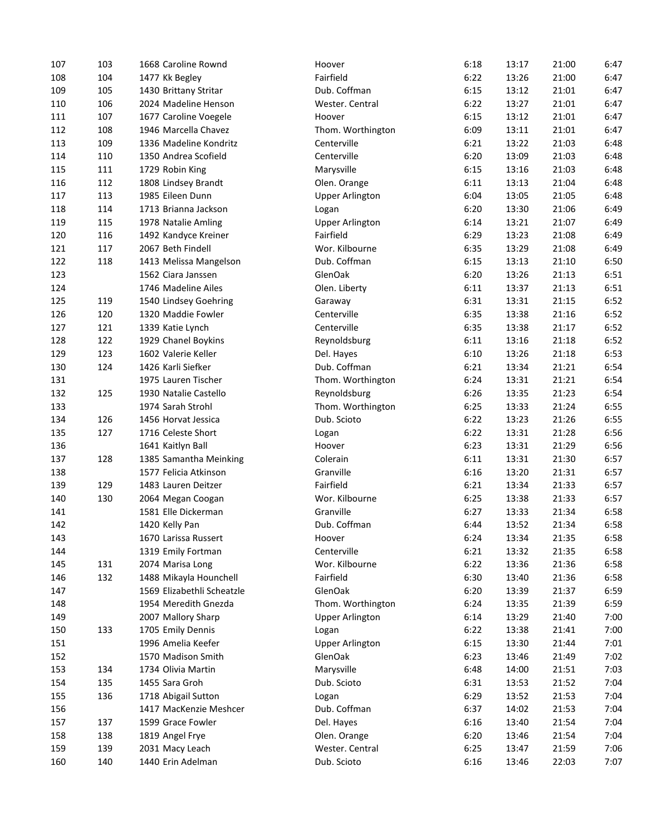| 107        | 103 | 1668 Caroline Rownd        | Hoover                 | 6:18 | 13:17 | 21:00 | 6:47 |
|------------|-----|----------------------------|------------------------|------|-------|-------|------|
| 108        | 104 | 1477 Kk Begley             | Fairfield              | 6:22 | 13:26 | 21:00 | 6:47 |
| 109        | 105 | 1430 Brittany Stritar      | Dub. Coffman           | 6:15 | 13:12 | 21:01 | 6:47 |
| 110        | 106 | 2024 Madeline Henson       | Wester. Central        | 6:22 | 13:27 | 21:01 | 6:47 |
| 111        | 107 | 1677 Caroline Voegele      | Hoover                 | 6:15 | 13:12 | 21:01 | 6:47 |
| 112        | 108 | 1946 Marcella Chavez       | Thom. Worthington      | 6:09 | 13:11 | 21:01 | 6:47 |
| 113        | 109 | 1336 Madeline Kondritz     | Centerville            | 6:21 | 13:22 | 21:03 | 6:48 |
| 114        | 110 | 1350 Andrea Scofield       | Centerville            | 6:20 | 13:09 | 21:03 | 6:48 |
| 115        | 111 | 1729 Robin King            | Marysville             | 6:15 | 13:16 | 21:03 | 6:48 |
| 116        | 112 | 1808 Lindsey Brandt        | Olen. Orange           | 6:11 | 13:13 | 21:04 | 6:48 |
| 117        | 113 | 1985 Eileen Dunn           | <b>Upper Arlington</b> | 6:04 | 13:05 | 21:05 | 6:48 |
| 118        | 114 | 1713 Brianna Jackson       | Logan                  | 6:20 | 13:30 | 21:06 | 6:49 |
| 119        | 115 | 1978 Natalie Amling        | <b>Upper Arlington</b> | 6:14 | 13:21 | 21:07 | 6:49 |
| 120        | 116 | 1492 Kandyce Kreiner       | Fairfield              | 6:29 | 13:23 | 21:08 | 6:49 |
| 121        | 117 | 2067 Beth Findell          | Wor. Kilbourne         | 6:35 | 13:29 | 21:08 | 6:49 |
| 122        | 118 | 1413 Melissa Mangelson     | Dub. Coffman           | 6:15 | 13:13 | 21:10 | 6:50 |
| 123        |     | 1562 Ciara Janssen         | GlenOak                | 6:20 | 13:26 | 21:13 | 6:51 |
| 124        |     | 1746 Madeline Ailes        | Olen. Liberty          | 6:11 | 13:37 | 21:13 | 6:51 |
| 125        | 119 | 1540 Lindsey Goehring      | Garaway                | 6:31 | 13:31 | 21:15 | 6:52 |
| 126        | 120 | 1320 Maddie Fowler         | Centerville            | 6:35 | 13:38 | 21:16 | 6:52 |
| 127        | 121 | 1339 Katie Lynch           | Centerville            | 6:35 | 13:38 | 21:17 | 6:52 |
| 128        | 122 | 1929 Chanel Boykins        | Reynoldsburg           | 6:11 | 13:16 | 21:18 | 6:52 |
| 129        | 123 | 1602 Valerie Keller        | Del. Hayes             | 6:10 | 13:26 | 21:18 | 6:53 |
| 130        | 124 | 1426 Karli Siefker         | Dub. Coffman           | 6:21 | 13:34 | 21:21 | 6:54 |
| 131        |     | 1975 Lauren Tischer        | Thom. Worthington      | 6:24 | 13:31 | 21:21 | 6:54 |
|            | 125 |                            |                        | 6:26 |       | 21:23 | 6:54 |
| 132<br>133 |     | 1930 Natalie Castello      | Reynoldsburg           | 6:25 | 13:35 | 21:24 | 6:55 |
|            |     | 1974 Sarah Strohl          | Thom. Worthington      |      | 13:33 |       |      |
| 134        | 126 | 1456 Horvat Jessica        | Dub. Scioto            | 6:22 | 13:23 | 21:26 | 6:55 |
| 135        | 127 | 1716 Celeste Short         | Logan                  | 6:22 | 13:31 | 21:28 | 6:56 |
| 136        |     | 1641 Kaitlyn Ball          | Hoover                 | 6:23 | 13:31 | 21:29 | 6:56 |
| 137        | 128 | 1385 Samantha Meinking     | Colerain               | 6:11 | 13:31 | 21:30 | 6:57 |
| 138        |     | 1577 Felicia Atkinson      | Granville              | 6:16 | 13:20 | 21:31 | 6:57 |
| 139        | 129 | 1483 Lauren Deitzer        | Fairfield              | 6:21 | 13:34 | 21:33 | 6:57 |
| 140        | 130 | 2064 Megan Coogan          | Wor. Kilbourne         | 6:25 | 13:38 | 21:33 | 6:57 |
| 141        |     | 1581 Elle Dickerman        | Granville              | 6:27 | 13:33 | 21:34 | 6:58 |
| 142        |     | 1420 Kelly Pan             | Dub. Coffman           | 6:44 | 13:52 | 21:34 | 6:58 |
| 143        |     | 1670 Larissa Russert       | Hoover                 | 6:24 | 13:34 | 21:35 | 6:58 |
| 144        |     | 1319 Emily Fortman         | Centerville            | 6:21 | 13:32 | 21:35 | 6:58 |
| 145        | 131 | 2074 Marisa Long           | Wor. Kilbourne         | 6:22 | 13:36 | 21:36 | 6:58 |
| 146        | 132 | 1488 Mikayla Hounchell     | Fairfield              | 6:30 | 13:40 | 21:36 | 6:58 |
| 147        |     | 1569 Elizabethli Scheatzle | GlenOak                | 6:20 | 13:39 | 21:37 | 6:59 |
| 148        |     | 1954 Meredith Gnezda       | Thom. Worthington      | 6:24 | 13:35 | 21:39 | 6:59 |
| 149        |     | 2007 Mallory Sharp         | <b>Upper Arlington</b> | 6:14 | 13:29 | 21:40 | 7:00 |
| 150        | 133 | 1705 Emily Dennis          | Logan                  | 6:22 | 13:38 | 21:41 | 7:00 |
| 151        |     | 1996 Amelia Keefer         | <b>Upper Arlington</b> | 6:15 | 13:30 | 21:44 | 7:01 |
| 152        |     | 1570 Madison Smith         | GlenOak                | 6:23 | 13:46 | 21:49 | 7:02 |
| 153        | 134 | 1734 Olivia Martin         | Marysville             | 6:48 | 14:00 | 21:51 | 7:03 |
| 154        | 135 | 1455 Sara Groh             | Dub. Scioto            | 6:31 | 13:53 | 21:52 | 7:04 |
| 155        | 136 | 1718 Abigail Sutton        | Logan                  | 6:29 | 13:52 | 21:53 | 7:04 |
| 156        |     | 1417 MacKenzie Meshcer     | Dub. Coffman           | 6:37 | 14:02 | 21:53 | 7:04 |
| 157        | 137 | 1599 Grace Fowler          | Del. Hayes             | 6:16 | 13:40 | 21:54 | 7:04 |
| 158        | 138 | 1819 Angel Frye            | Olen. Orange           | 6:20 | 13:46 | 21:54 | 7:04 |
| 159        | 139 | 2031 Macy Leach            | Wester. Central        | 6:25 | 13:47 | 21:59 | 7:06 |
| 160        | 140 | 1440 Erin Adelman          | Dub. Scioto            | 6:16 | 13:46 | 22:03 | 7:07 |
|            |     |                            |                        |      |       |       |      |